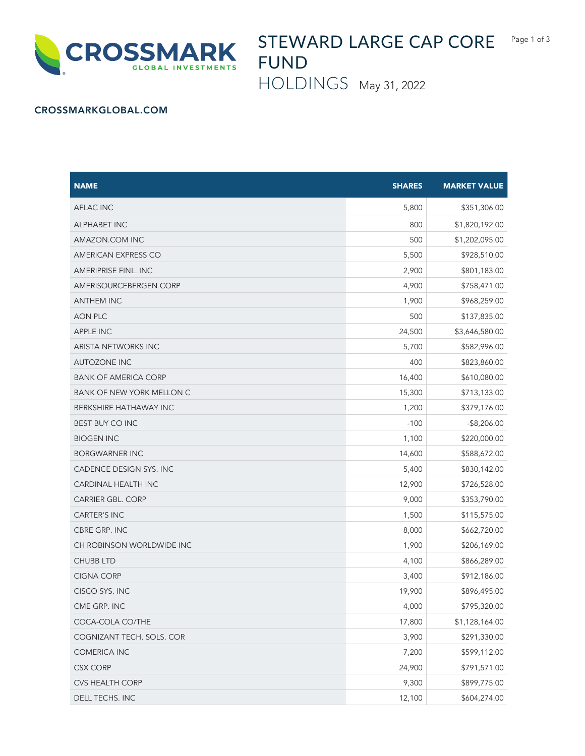

STEWARD LARGE CAP CORE FUND

HOLDINGS May 31, 2022

## CROSSMARKGLOBAL.COM

| <b>NAME</b>                      | <b>SHARES</b> | <b>MARKET VALUE</b> |
|----------------------------------|---------------|---------------------|
| <b>AFLAC INC</b>                 | 5,800         | \$351,306.00        |
| <b>ALPHABET INC</b>              | 800           | \$1,820,192.00      |
| AMAZON.COM INC                   | 500           | \$1,202,095.00      |
| AMERICAN EXPRESS CO              | 5,500         | \$928,510.00        |
| <b>AMERIPRISE FINL. INC</b>      | 2,900         | \$801,183.00        |
| AMERISOURCEBERGEN CORP           | 4,900         | \$758,471.00        |
| <b>ANTHEM INC</b>                | 1,900         | \$968,259.00        |
| AON PLC                          | 500           | \$137,835.00        |
| <b>APPLE INC</b>                 | 24,500        | \$3,646,580.00      |
| ARISTA NETWORKS INC              | 5,700         | \$582,996.00        |
| <b>AUTOZONE INC</b>              | 400           | \$823,860.00        |
| <b>BANK OF AMERICA CORP</b>      | 16,400        | \$610,080.00        |
| <b>BANK OF NEW YORK MELLON C</b> | 15,300        | \$713,133.00        |
| BERKSHIRE HATHAWAY INC           | 1,200         | \$379,176.00        |
| <b>BEST BUY CO INC</b>           | $-100$        | $-$ \$8,206.00      |
| <b>BIOGEN INC</b>                | 1,100         | \$220,000.00        |
| <b>BORGWARNER INC</b>            | 14,600        | \$588,672.00        |
| CADENCE DESIGN SYS. INC          | 5,400         | \$830,142.00        |
| CARDINAL HEALTH INC              | 12,900        | \$726,528.00        |
| <b>CARRIER GBL. CORP</b>         | 9,000         | \$353,790.00        |
| <b>CARTER'S INC</b>              | 1,500         | \$115,575.00        |
| CBRE GRP. INC                    | 8,000         | \$662,720.00        |
| CH ROBINSON WORLDWIDE INC        | 1,900         | \$206,169.00        |
| <b>CHUBB LTD</b>                 | 4,100         | \$866,289.00        |
| <b>CIGNA CORP</b>                | 3,400         | \$912,186.00        |
| CISCO SYS. INC                   | 19,900        | \$896,495.00        |
| CME GRP. INC                     | 4,000         | \$795,320.00        |
| COCA-COLA CO/THE                 | 17,800        | \$1,128,164.00      |
| COGNIZANT TECH. SOLS. COR        | 3,900         | \$291,330.00        |
| <b>COMERICA INC</b>              | 7,200         | \$599,112.00        |
| <b>CSX CORP</b>                  | 24,900        | \$791,571.00        |
| CVS HEALTH CORP                  | 9,300         | \$899,775.00        |
| DELL TECHS. INC                  | 12,100        | \$604,274.00        |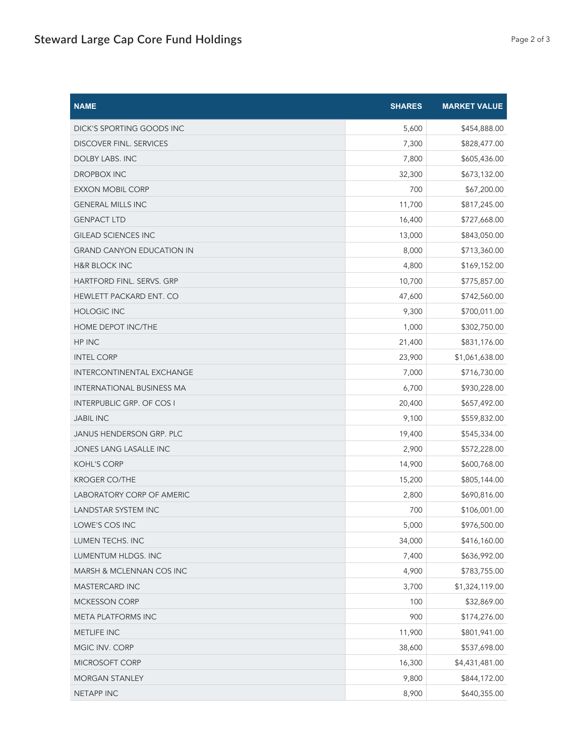| <b>NAME</b>                      | <b>SHARES</b> | <b>MARKET VALUE</b> |
|----------------------------------|---------------|---------------------|
| DICK'S SPORTING GOODS INC        | 5,600         | \$454,888.00        |
| <b>DISCOVER FINL. SERVICES</b>   | 7,300         | \$828,477.00        |
| <b>DOLBY LABS. INC</b>           | 7,800         | \$605,436.00        |
| DROPBOX INC                      | 32,300        | \$673,132.00        |
| <b>EXXON MOBIL CORP</b>          | 700           | \$67,200.00         |
| <b>GENERAL MILLS INC</b>         | 11,700        | \$817,245.00        |
| <b>GENPACT LTD</b>               | 16,400        | \$727,668.00        |
| <b>GILEAD SCIENCES INC</b>       | 13,000        | \$843,050.00        |
| <b>GRAND CANYON EDUCATION IN</b> | 8,000         | \$713,360.00        |
| <b>H&amp;R BLOCK INC</b>         | 4,800         | \$169,152.00        |
| HARTFORD FINL. SERVS. GRP        | 10,700        | \$775,857.00        |
| HEWLETT PACKARD ENT. CO          | 47,600        | \$742,560.00        |
| <b>HOLOGIC INC</b>               | 9,300         | \$700,011.00        |
| HOME DEPOT INC/THE               | 1,000         | \$302,750.00        |
| HP INC                           | 21,400        | \$831,176.00        |
| <b>INTEL CORP</b>                | 23,900        | \$1,061,638.00      |
| INTERCONTINENTAL EXCHANGE        | 7,000         | \$716,730.00        |
| <b>INTERNATIONAL BUSINESS MA</b> | 6,700         | \$930,228.00        |
| <b>INTERPUBLIC GRP. OF COS I</b> | 20,400        | \$657,492.00        |
| <b>JABIL INC</b>                 | 9,100         | \$559,832.00        |
| JANUS HENDERSON GRP. PLC         | 19,400        | \$545,334.00        |
| JONES LANG LASALLE INC           | 2,900         | \$572,228.00        |
| <b>KOHL'S CORP</b>               | 14,900        | \$600,768.00        |
| <b>KROGER CO/THE</b>             | 15,200        | \$805,144.00        |
| LABORATORY CORP OF AMERIC        | 2,800         | \$690,816.00        |
| LANDSTAR SYSTEM INC              | 700           | \$106,001.00        |
| LOWE'S COS INC                   | 5,000         | \$976,500.00        |
| LUMEN TECHS. INC                 | 34,000        | \$416,160.00        |
| LUMENTUM HLDGS. INC              | 7,400         | \$636,992.00        |
| MARSH & MCLENNAN COS INC         | 4,900         | \$783,755.00        |
| <b>MASTERCARD INC</b>            | 3,700         | \$1,324,119.00      |
| <b>MCKESSON CORP</b>             | 100           | \$32,869.00         |
| META PLATFORMS INC               | 900           | \$174,276.00        |
| METLIFE INC                      | 11,900        | \$801,941.00        |
| MGIC INV. CORP                   | 38,600        | \$537,698.00        |
| MICROSOFT CORP                   | 16,300        | \$4,431,481.00      |
| <b>MORGAN STANLEY</b>            | 9,800         | \$844,172.00        |
| NETAPP INC                       | 8,900         | \$640,355.00        |